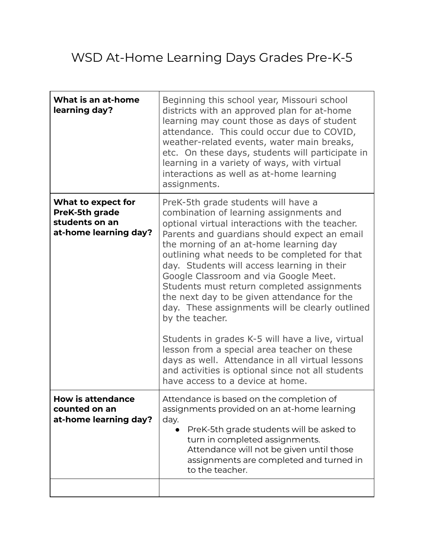## WSD At-Home Learning Days Grades Pre-K-5

| What is an at-home<br>learning day?                                             | Beginning this school year, Missouri school<br>districts with an approved plan for at-home<br>learning may count those as days of student<br>attendance. This could occur due to COVID,<br>weather-related events, water main breaks,<br>etc. On these days, students will participate in<br>learning in a variety of ways, with virtual<br>interactions as well as at-home learning<br>assignments.                                                                                                                                                                                                                                                                                                                                                                                   |
|---------------------------------------------------------------------------------|----------------------------------------------------------------------------------------------------------------------------------------------------------------------------------------------------------------------------------------------------------------------------------------------------------------------------------------------------------------------------------------------------------------------------------------------------------------------------------------------------------------------------------------------------------------------------------------------------------------------------------------------------------------------------------------------------------------------------------------------------------------------------------------|
| What to expect for<br>PreK-5th grade<br>students on an<br>at-home learning day? | PreK-5th grade students will have a<br>combination of learning assignments and<br>optional virtual interactions with the teacher.<br>Parents and guardians should expect an email<br>the morning of an at-home learning day<br>outlining what needs to be completed for that<br>day. Students will access learning in their<br>Google Classroom and via Google Meet.<br>Students must return completed assignments<br>the next day to be given attendance for the<br>day. These assignments will be clearly outlined<br>by the teacher.<br>Students in grades K-5 will have a live, virtual<br>lesson from a special area teacher on these<br>days as well. Attendance in all virtual lessons<br>and activities is optional since not all students<br>have access to a device at home. |
| <b>How is attendance</b><br>counted on an<br>at-home learning day?              | Attendance is based on the completion of<br>assignments provided on an at-home learning<br>day.<br>PreK-5th grade students will be asked to<br>$\bullet$<br>turn in completed assignments.<br>Attendance will not be given until those<br>assignments are completed and turned in<br>to the teacher.                                                                                                                                                                                                                                                                                                                                                                                                                                                                                   |
|                                                                                 |                                                                                                                                                                                                                                                                                                                                                                                                                                                                                                                                                                                                                                                                                                                                                                                        |